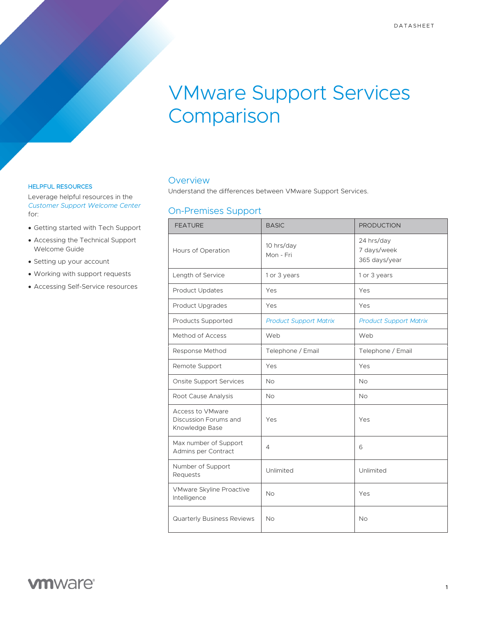# VMware Support Services Comparison

#### HELPFUL RESOURCES

Leverage helpful resources in the *[Customer Support Welcome Center](https://www.vmware.com/support/welcome-center.html)* for:

- Getting started with Tech Support
- Accessing the Technical Support Welcome Guide
- Setting up your account
- Working with support requests
- Accessing Self-Service resources

#### **Overview**

Understand the differences between VMware Support Services.

## On-Premises Support

| <b>FEATURE</b>                                              | <b>BASIC</b>                  | <b>PRODUCTION</b>                          |
|-------------------------------------------------------------|-------------------------------|--------------------------------------------|
| Hours of Operation                                          | 10 hrs/day<br>Mon - Fri       | 24 hrs/day<br>7 days/week<br>365 days/year |
| Length of Service                                           | 1 or 3 years                  | 1 or 3 years                               |
| Product Updates                                             | Yes                           | Yes                                        |
| Product Upgrades                                            | Yes                           | Yes                                        |
| Products Supported                                          | <b>Product Support Matrix</b> | <b>Product Support Matrix</b>              |
| Method of Access                                            | Web                           | Web                                        |
| Response Method                                             | Telephone / Email             | Telephone / Email                          |
| Remote Support                                              | Yes                           | Yes                                        |
| <b>Onsite Support Services</b>                              | <b>No</b>                     | <b>No</b>                                  |
| Root Cause Analysis                                         | <b>No</b>                     | <b>No</b>                                  |
| Access to VMware<br>Discussion Forums and<br>Knowledge Base | Yes                           | Yes                                        |
| Max number of Support<br>Admins per Contract                | 4                             | 6                                          |
| Number of Support<br>Requests                               | Unlimited                     | Unlimited                                  |
| VMware Skyline Proactive<br>Intelligence                    | <b>No</b>                     | Yes                                        |
| Quarterly Business Reviews                                  | <b>No</b>                     | <b>No</b>                                  |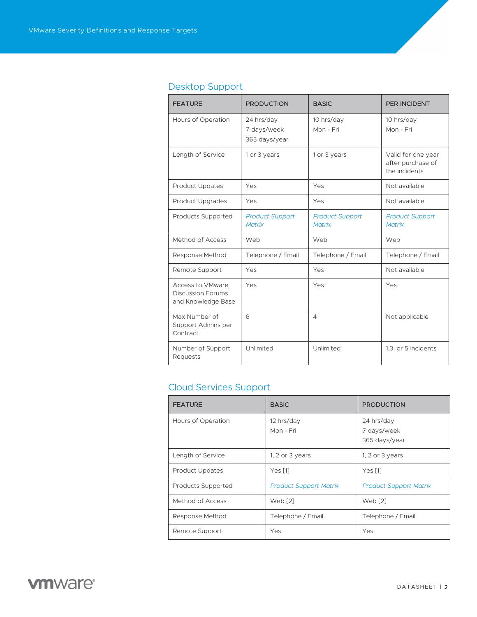| <b>FEATURE</b>                                                     | <b>PRODUCTION</b>                          | <b>BASIC</b>                            | <b>PER INCIDENT</b>                                      |
|--------------------------------------------------------------------|--------------------------------------------|-----------------------------------------|----------------------------------------------------------|
| Hours of Operation                                                 | 24 hrs/day<br>7 days/week<br>365 days/year | 10 hrs/day<br>Mon - Fri                 | 10 hrs/day<br>Mon - Fri                                  |
| Length of Service                                                  | 1 or 3 years                               | 1 or 3 years                            | Valid for one year<br>after purchase of<br>the incidents |
| <b>Product Updates</b>                                             | Yes                                        | Yes                                     | Not available                                            |
| Product Upgrades                                                   | Yes                                        | Yes                                     | Not available                                            |
| Products Supported                                                 | <b>Product Support</b><br><b>Matrix</b>    | <b>Product Support</b><br><b>Matrix</b> | <b>Product Support</b><br><b>Matrix</b>                  |
| Method of Access                                                   | Web                                        | Web                                     | Web                                                      |
| Response Method                                                    | Telephone / Email                          | Telephone / Email                       | Telephone / Email                                        |
| Remote Support                                                     | Yes                                        | Yes                                     | Not available                                            |
| Access to VMware<br><b>Discussion Forums</b><br>and Knowledge Base | Yes                                        | Yes                                     | Yes                                                      |
| Max Number of<br>Support Admins per<br>Contract                    | 6                                          | $\overline{4}$                          | Not applicable                                           |
| Number of Support<br>Requests                                      | Unlimited                                  | Unlimited                               | 1,3, or 5 incidents                                      |

## Desktop Support

## Cloud Services Support

| <b>FEATURE</b>         | <b>BASIC</b>                  | <b>PRODUCTION</b>                          |
|------------------------|-------------------------------|--------------------------------------------|
| Hours of Operation     | 12 hrs/day<br>Mon - Fri       | 24 hrs/day<br>7 days/week<br>365 days/year |
| Length of Service      | 1, $2$ or $3$ years           | 1, 2 or $3$ years                          |
| <b>Product Updates</b> | Yes $[1]$                     | Yes [1]                                    |
| Products Supported     | <b>Product Support Matrix</b> | <b>Product Support Matrix</b>              |
| Method of Access       | Web <sup>[2]</sup>            | Web <sup>[2]</sup>                         |
| Response Method        | Telephone / Email             | Telephone / Email                          |
| Remote Support         | Yes                           | Yes                                        |

**vm**ware<sup>®</sup>